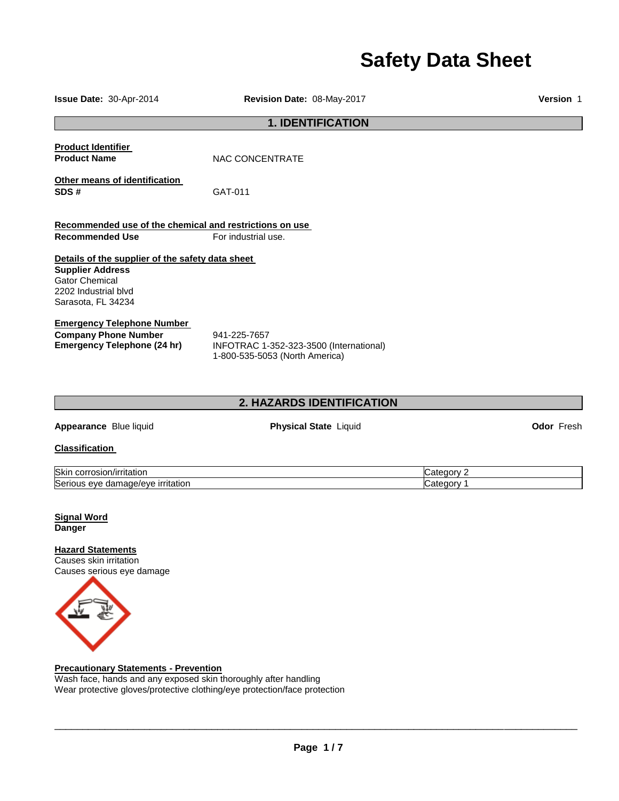# **Safety Data Sheet**

| Issue Date: 30-Apr-2014                                                                                                                            | Revision Date: 08-May-2017                                                                | Version 1                |  |
|----------------------------------------------------------------------------------------------------------------------------------------------------|-------------------------------------------------------------------------------------------|--------------------------|--|
| <b>1. IDENTIFICATION</b>                                                                                                                           |                                                                                           |                          |  |
| <b>Product Identifier</b><br><b>Product Name</b>                                                                                                   | NAC CONCENTRATE                                                                           |                          |  |
| Other means of identification<br>SDS#                                                                                                              | GAT-011                                                                                   |                          |  |
| Recommended use of the chemical and restrictions on use<br><b>Recommended Use</b>                                                                  | For industrial use.                                                                       |                          |  |
| Details of the supplier of the safety data sheet<br><b>Supplier Address</b><br><b>Gator Chemical</b><br>2202 Industrial blvd<br>Sarasota, FL 34234 |                                                                                           |                          |  |
| <b>Emergency Telephone Number</b><br><b>Company Phone Number</b><br><b>Emergency Telephone (24 hr)</b>                                             | 941-225-7657<br>INFOTRAC 1-352-323-3500 (International)<br>1-800-535-5053 (North America) |                          |  |
|                                                                                                                                                    | 2. HAZARDS IDENTIFICATION                                                                 |                          |  |
| Appearance Blue liquid                                                                                                                             | Physical State Liquid                                                                     | <b>Odor Fresh</b>        |  |
| <b>Classification</b>                                                                                                                              |                                                                                           |                          |  |
| Skin corrosion/irritation<br>Serious eye damage/eye irritation                                                                                     |                                                                                           | Category 2<br>Category 1 |  |
| <b>Signal Word</b><br><b>Danger</b>                                                                                                                |                                                                                           |                          |  |
| <b>Hazard Statements</b><br>Causes skin irritation<br>Causes serious eye damage                                                                    |                                                                                           |                          |  |

#### **Precautionary Statements - Prevention**

Wash face, hands and any exposed skin thoroughly after handling Wear protective gloves/protective clothing/eye protection/face protection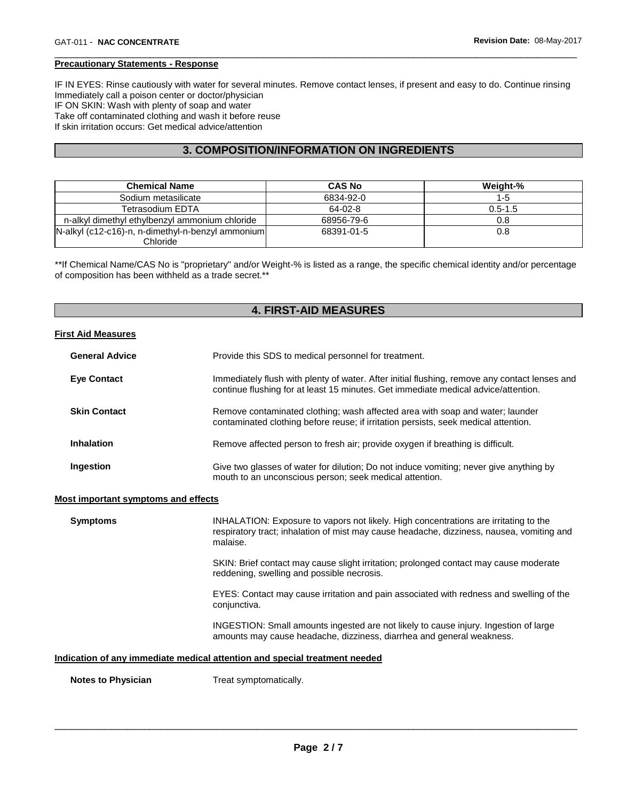#### **Precautionary Statements - Response**

IF IN EYES: Rinse cautiously with water for several minutes. Remove contact lenses, if present and easy to do. Continue rinsing Immediately call a poison center or doctor/physician IF ON SKIN: Wash with plenty of soap and water Take off contaminated clothing and wash it before reuse If skin irritation occurs: Get medical advice/attention

\_\_\_\_\_\_\_\_\_\_\_\_\_\_\_\_\_\_\_\_\_\_\_\_\_\_\_\_\_\_\_\_\_\_\_\_\_\_\_\_\_\_\_\_\_\_\_\_\_\_\_\_\_\_\_\_\_\_\_\_\_\_\_\_\_\_\_\_\_\_\_\_\_\_\_\_\_\_\_\_\_\_\_\_\_\_\_\_\_\_\_\_\_

#### **3. COMPOSITION/INFORMATION ON INGREDIENTS**

| <b>Chemical Name</b>                              | <b>CAS No</b> | Weight-%    |
|---------------------------------------------------|---------------|-------------|
| Sodium metasilicate                               | 6834-92-0     | 1-5         |
| Tetrasodium EDTA                                  | 64-02-8       | $0.5 - 1.5$ |
| n-alkyl dimethyl ethylbenzyl ammonium chloride    | 68956-79-6    | 0.8         |
| N-alkyl (c12-c16)-n, n-dimethyl-n-benzyl ammonium | 68391-01-5    | 0.8         |
| Chloride                                          |               |             |

\*\*If Chemical Name/CAS No is "proprietary" and/or Weight-% is listed as a range, the specific chemical identity and/or percentage of composition has been withheld as a trade secret.\*\*

#### **4. FIRST-AID MEASURES**

#### **First Aid Measures**

| <b>General Advice</b> | Provide this SDS to medical personnel for treatment.                                                                                                                                |
|-----------------------|-------------------------------------------------------------------------------------------------------------------------------------------------------------------------------------|
| <b>Eye Contact</b>    | Immediately flush with plenty of water. After initial flushing, remove any contact lenses and<br>continue flushing for at least 15 minutes. Get immediate medical advice/attention. |
| <b>Skin Contact</b>   | Remove contaminated clothing; wash affected area with soap and water; launder<br>contaminated clothing before reuse; if irritation persists, seek medical attention.                |
| <b>Inhalation</b>     | Remove affected person to fresh air; provide oxygen if breathing is difficult.                                                                                                      |
| Ingestion             | Give two glasses of water for dilution; Do not induce vomiting; never give anything by<br>mouth to an unconscious person: seek medical attention.                                   |

#### **Most important symptoms and effects**

| <b>Symptoms</b>           | INHALATION: Exposure to vapors not likely. High concentrations are irritating to the<br>respiratory tract; inhalation of mist may cause headache, dizziness, nausea, vomiting and<br>malaise. |
|---------------------------|-----------------------------------------------------------------------------------------------------------------------------------------------------------------------------------------------|
|                           | SKIN: Brief contact may cause slight irritation; prolonged contact may cause moderate<br>reddening, swelling and possible necrosis.                                                           |
|                           | EYES: Contact may cause irritation and pain associated with redness and swelling of the<br>conjunctiva.                                                                                       |
|                           | INGESTION: Small amounts ingested are not likely to cause injury. Ingestion of large<br>amounts may cause headache, dizziness, diarrhea and general weakness.                                 |
|                           | Indication of any immediate medical attention and special treatment needed                                                                                                                    |
| <b>Notes to Physician</b> | Treat symptomatically.                                                                                                                                                                        |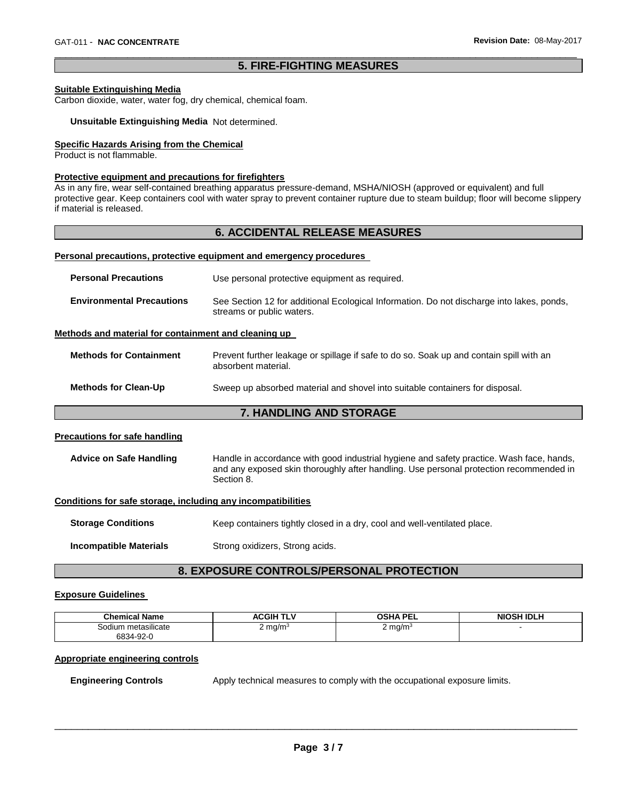#### \_\_\_\_\_\_\_\_\_\_\_\_\_\_\_\_\_\_\_\_\_\_\_\_\_\_\_\_\_\_\_\_\_\_\_\_\_\_\_\_\_\_\_\_\_\_\_\_\_\_\_\_\_\_\_\_\_\_\_\_\_\_\_\_\_\_\_\_\_\_\_\_\_\_\_\_\_\_\_\_\_\_\_\_\_\_\_\_\_\_\_\_\_ **5. FIRE-FIGHTING MEASURES**

#### **Suitable Extinguishing Media**

Carbon dioxide, water, water fog, dry chemical, chemical foam.

#### **Unsuitable Extinguishing Media** Not determined.

#### **Specific Hazards Arising from the Chemical**

Product is not flammable.

#### **Protective equipment and precautions for firefighters**

As in any fire, wear self-contained breathing apparatus pressure-demand, MSHA/NIOSH (approved or equivalent) and full protective gear. Keep containers cool with water spray to prevent container rupture due to steam buildup; floor will become slippery if material is released.

#### **6. ACCIDENTAL RELEASE MEASURES**

#### **Personal precautions, protective equipment and emergency procedures**

| <b>Personal Precautions</b>      | Use personal protective equipment as required.                                                                         |
|----------------------------------|------------------------------------------------------------------------------------------------------------------------|
| <b>Environmental Precautions</b> | See Section 12 for additional Ecological Information. Do not discharge into lakes, ponds,<br>streams or public waters. |

#### **Methods and material for containment and cleaning up**

| <b>Methods for Containment</b> | Prevent further leakage or spillage if safe to do so. Soak up and contain spill with an<br>absorbent material. |
|--------------------------------|----------------------------------------------------------------------------------------------------------------|
| <b>Methods for Clean-Up</b>    | Sweep up absorbed material and shovel into suitable containers for disposal.                                   |
|                                |                                                                                                                |

#### **7. HANDLING AND STORAGE**

#### **Precautions for safe handling**

| Advice on Safe Handling | Handle in accordance with good industrial hygiene and safety practice. Wash face, hands, |
|-------------------------|------------------------------------------------------------------------------------------|
|                         | and any exposed skin thoroughly after handling. Use personal protection recommended in   |
|                         | Section 8.                                                                               |

#### **Conditions for safe storage, including any incompatibilities**

| <b>Storage Conditions</b> | Keep containers tightly closed in a dry, cool and well-ventilated place. |
|---------------------------|--------------------------------------------------------------------------|
| Incompatible Materials    | Strong oxidizers, Strong acids.                                          |

#### **8. EXPOSURE CONTROLS/PERSONAL PROTECTION**

#### **Exposure Guidelines**

| <b>Chemical Name</b>       | $  -$<br>TLV<br>CGIF<br>л. | <b>OSHA PEI</b><br>.          | <b>NIOSH IDLH</b> |
|----------------------------|----------------------------|-------------------------------|-------------------|
| <br>metasilicate<br>Sodium | 2 mg/m <sup>3</sup>        | ∶mg/m°<br><u>.</u><br>$\cdot$ |                   |
| 6834-92-0                  |                            |                               |                   |

#### **Appropriate engineering controls**

**Engineering Controls Apply technical measures to comply with the occupational exposure limits.**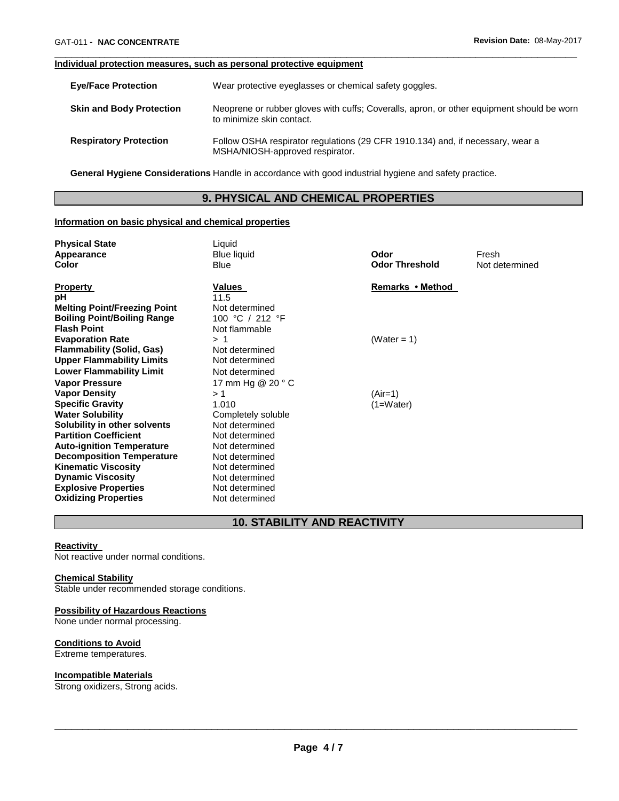#### **Individual protection measures, such as personal protective equipment**

| <b>Eve/Face Protection</b>      | Wear protective eyeglasses or chemical safety goggles.                                                                 |
|---------------------------------|------------------------------------------------------------------------------------------------------------------------|
| <b>Skin and Body Protection</b> | Neoprene or rubber gloves with cuffs; Coveralls, apron, or other equipment should be worn<br>to minimize skin contact. |
| <b>Respiratory Protection</b>   | Follow OSHA respirator regulations (29 CFR 1910.134) and, if necessary, wear a<br>MSHA/NIOSH-approved respirator.      |

\_\_\_\_\_\_\_\_\_\_\_\_\_\_\_\_\_\_\_\_\_\_\_\_\_\_\_\_\_\_\_\_\_\_\_\_\_\_\_\_\_\_\_\_\_\_\_\_\_\_\_\_\_\_\_\_\_\_\_\_\_\_\_\_\_\_\_\_\_\_\_\_\_\_\_\_\_\_\_\_\_\_\_\_\_\_\_\_\_\_\_\_\_

**General Hygiene Considerations** Handle in accordance with good industrial hygiene and safety practice.

#### **9. PHYSICAL AND CHEMICAL PROPERTIES**

#### **Information on basic physical and chemical properties**

| <b>Physical State</b>               | Liquid                       |                       |                |
|-------------------------------------|------------------------------|-----------------------|----------------|
| Appearance                          | <b>Blue liquid</b>           | Odor                  | Fresh          |
| Color                               | <b>Blue</b>                  | <b>Odor Threshold</b> | Not determined |
|                                     | Values                       | Remarks • Method      |                |
| <b>Property</b><br>рH               | 11.5                         |                       |                |
| <b>Melting Point/Freezing Point</b> | Not determined               |                       |                |
| <b>Boiling Point/Boiling Range</b>  | 100 °C / 212 °F              |                       |                |
| <b>Flash Point</b>                  | Not flammable                |                       |                |
| <b>Evaporation Rate</b>             | >1                           | (Water = 1)           |                |
| <b>Flammability (Solid, Gas)</b>    | Not determined               |                       |                |
| <b>Upper Flammability Limits</b>    | Not determined               |                       |                |
|                                     |                              |                       |                |
| <b>Lower Flammability Limit</b>     | Not determined               |                       |                |
| <b>Vapor Pressure</b>               | 17 mm Hg $@$ 20 $^{\circ}$ C |                       |                |
| <b>Vapor Density</b>                | >1                           | (Air=1)               |                |
| <b>Specific Gravity</b>             | 1.010                        | (1=Water)             |                |
| <b>Water Solubility</b>             | Completely soluble           |                       |                |
| Solubility in other solvents        | Not determined               |                       |                |
| <b>Partition Coefficient</b>        | Not determined               |                       |                |
| <b>Auto-ignition Temperature</b>    | Not determined               |                       |                |
| <b>Decomposition Temperature</b>    | Not determined               |                       |                |
| <b>Kinematic Viscosity</b>          | Not determined               |                       |                |
| <b>Dynamic Viscosity</b>            | Not determined               |                       |                |
| <b>Explosive Properties</b>         | Not determined               |                       |                |
| <b>Oxidizing Properties</b>         | Not determined               |                       |                |

### **10. STABILITY AND REACTIVITY**

#### **Reactivity**

Not reactive under normal conditions.

#### **Chemical Stability**

Stable under recommended storage conditions.

#### **Possibility of Hazardous Reactions**

None under normal processing.

#### **Conditions to Avoid**

Extreme temperatures.

#### **Incompatible Materials**

Strong oxidizers, Strong acids.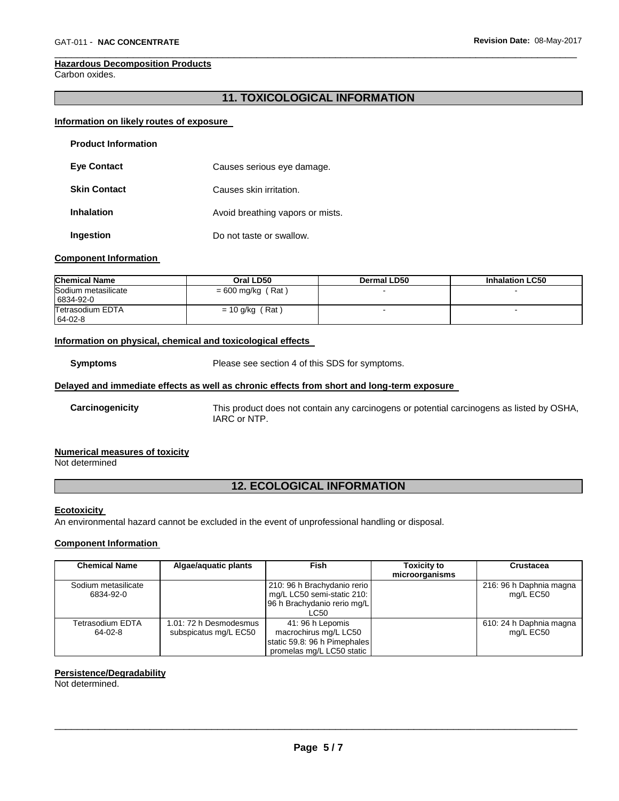#### **Hazardous Decomposition Products**

Carbon oxides.

#### **11. TOXICOLOGICAL INFORMATION**

\_\_\_\_\_\_\_\_\_\_\_\_\_\_\_\_\_\_\_\_\_\_\_\_\_\_\_\_\_\_\_\_\_\_\_\_\_\_\_\_\_\_\_\_\_\_\_\_\_\_\_\_\_\_\_\_\_\_\_\_\_\_\_\_\_\_\_\_\_\_\_\_\_\_\_\_\_\_\_\_\_\_\_\_\_\_\_\_\_\_\_\_\_

#### **Information on likely routes of exposure**

| <b>Product Information</b> |                                  |
|----------------------------|----------------------------------|
| <b>Eye Contact</b>         | Causes serious eye damage.       |
| <b>Skin Contact</b>        | Causes skin irritation.          |
| <b>Inhalation</b>          | Avoid breathing vapors or mists. |
| Ingestion                  | Do not taste or swallow.         |

#### **Component Information**

| <b>Chemical Name</b>             | Oral LD50           | <b>Dermal LD50</b> | <b>Inhalation LC50</b> |
|----------------------------------|---------------------|--------------------|------------------------|
| Sodium metasilicate<br>6834-92-0 | $= 600$ mg/kg (Rat) |                    |                        |
| Tetrasodium EDTA<br>64-02-8      | $= 10$ g/kg (Rat)   |                    |                        |

#### **Information on physical, chemical and toxicological effects**

**Symptoms** Please see section 4 of this SDS for symptoms.

#### **Delayed and immediate effects as well as chronic effects from short and long-term exposure**

**Carcinogenicity** This product does not contain any carcinogens or potential carcinogens as listed by OSHA, IARC or NTP.

#### **Numerical measures of toxicity**

Not determined

### **12. ECOLOGICAL INFORMATION**

#### **Ecotoxicity**

An environmental hazard cannot be excluded in the event of unprofessional handling or disposal.

#### **Component Information**

| <b>Chemical Name</b> | Algae/aquatic plants   | Fish                         | <b>Toxicity to</b> | Crustacea               |
|----------------------|------------------------|------------------------------|--------------------|-------------------------|
|                      |                        |                              | microorganisms     |                         |
| Sodium metasilicate  |                        | 210: 96 h Brachydanio rerio  |                    | 216: 96 h Daphnia magna |
| 6834-92-0            |                        | mg/L LC50 semi-static 210:   |                    | mg/L EC50               |
|                      |                        | 96 h Brachydanio rerio mg/L  |                    |                         |
|                      |                        | LC50                         |                    |                         |
| Tetrasodium EDTA     | 1.01: 72 h Desmodesmus | 41: 96 h Lepomis             |                    | 610: 24 h Daphnia magna |
| 64-02-8              | subspicatus mg/L EC50  | macrochirus mg/L LC50        |                    | mg/L EC50               |
|                      |                        | static 59.8: 96 h Pimephales |                    |                         |
|                      |                        | promelas mg/L LC50 static    |                    |                         |

#### **Persistence/Degradability**

Not determined.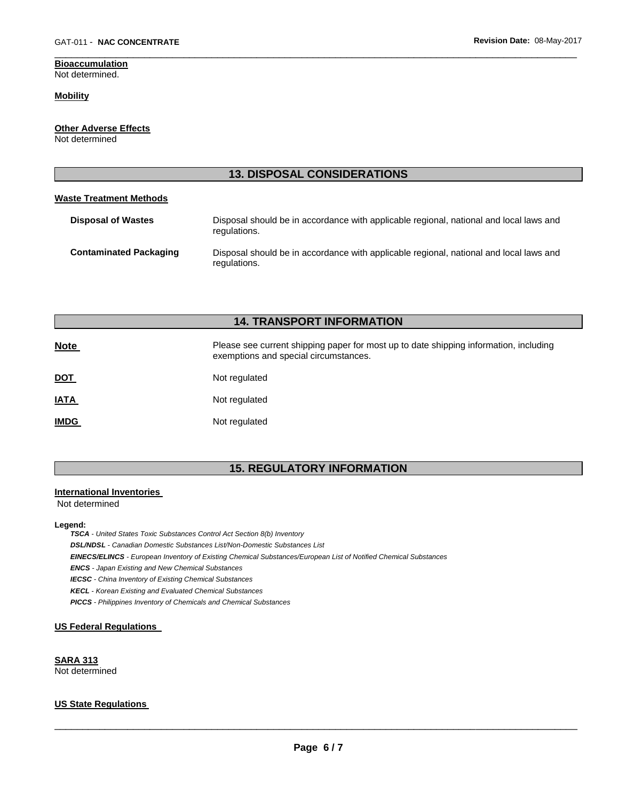## **Bioaccumulation**

Not determined.

#### **Mobility**

#### **Other Adverse Effects**

Not determined

#### **13. DISPOSAL CONSIDERATIONS**

\_\_\_\_\_\_\_\_\_\_\_\_\_\_\_\_\_\_\_\_\_\_\_\_\_\_\_\_\_\_\_\_\_\_\_\_\_\_\_\_\_\_\_\_\_\_\_\_\_\_\_\_\_\_\_\_\_\_\_\_\_\_\_\_\_\_\_\_\_\_\_\_\_\_\_\_\_\_\_\_\_\_\_\_\_\_\_\_\_\_\_\_\_

#### **Waste Treatment Methods**

| <b>Disposal of Wastes</b>     | Disposal should be in accordance with applicable regional, national and local laws and<br>regulations. |
|-------------------------------|--------------------------------------------------------------------------------------------------------|
| <b>Contaminated Packaging</b> | Disposal should be in accordance with applicable regional, national and local laws and<br>regulations. |

### **14. TRANSPORT INFORMATION**

| <b>Note</b> | Please see current shipping paper for most up to date shipping information, including<br>exemptions and special circumstances. |
|-------------|--------------------------------------------------------------------------------------------------------------------------------|
| <u>DOT</u>  | Not regulated                                                                                                                  |
| <u>IATA</u> | Not regulated                                                                                                                  |
| <b>IMDG</b> | Not regulated                                                                                                                  |

#### **15. REGULATORY INFORMATION**

#### **International Inventories**

Not determined

#### **Legend:**

*TSCA - United States Toxic Substances Control Act Section 8(b) Inventory* 

*DSL/NDSL - Canadian Domestic Substances List/Non-Domestic Substances List* 

*EINECS/ELINCS - European Inventory of Existing Chemical Substances/European List of Notified Chemical Substances* 

*ENCS - Japan Existing and New Chemical Substances* 

*IECSC - China Inventory of Existing Chemical Substances* 

*KECL - Korean Existing and Evaluated Chemical Substances* 

*PICCS - Philippines Inventory of Chemicals and Chemical Substances* 

#### **US Federal Regulations**

**SARA 313** Not determined

#### **US State Regulations**